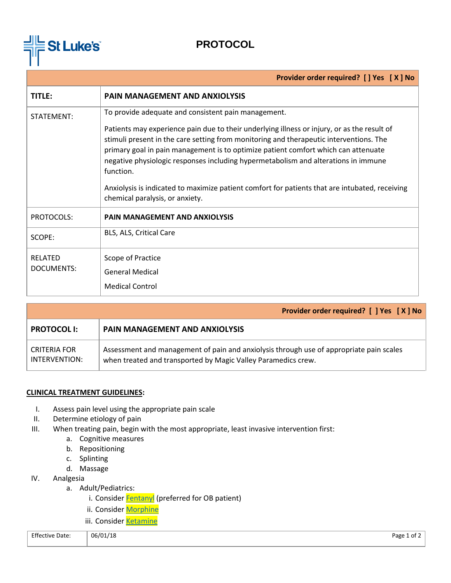

## **PROTOCOL**

| Provider order required? [] Yes [X] No |                                                                                                                                                                                                                                                                                                                                                                                                                                                                                                                                         |  |  |
|----------------------------------------|-----------------------------------------------------------------------------------------------------------------------------------------------------------------------------------------------------------------------------------------------------------------------------------------------------------------------------------------------------------------------------------------------------------------------------------------------------------------------------------------------------------------------------------------|--|--|
| <b>TITLE:</b>                          | <b>PAIN MANAGEMENT AND ANXIOLYSIS</b>                                                                                                                                                                                                                                                                                                                                                                                                                                                                                                   |  |  |
| STATEMENT:                             | To provide adequate and consistent pain management.<br>Patients may experience pain due to their underlying illness or injury, or as the result of<br>stimuli present in the care setting from monitoring and therapeutic interventions. The<br>primary goal in pain management is to optimize patient comfort which can attenuate<br>negative physiologic responses including hypermetabolism and alterations in immune<br>function.<br>Anxiolysis is indicated to maximize patient comfort for patients that are intubated, receiving |  |  |
|                                        | chemical paralysis, or anxiety.                                                                                                                                                                                                                                                                                                                                                                                                                                                                                                         |  |  |
| PROTOCOLS:                             | <b>PAIN MANAGEMENT AND ANXIOLYSIS</b>                                                                                                                                                                                                                                                                                                                                                                                                                                                                                                   |  |  |
| SCOPE:                                 | BLS, ALS, Critical Care                                                                                                                                                                                                                                                                                                                                                                                                                                                                                                                 |  |  |
| <b>RELATED</b><br>DOCUMENTS:           | Scope of Practice<br><b>General Medical</b><br><b>Medical Control</b>                                                                                                                                                                                                                                                                                                                                                                                                                                                                   |  |  |

|                               | Provider order required? [ ] Yes [ X ] No                                                                                                                |  |
|-------------------------------|----------------------------------------------------------------------------------------------------------------------------------------------------------|--|
| <b>PROTOCOL I:</b>            | <b>PAIN MANAGEMENT AND ANXIOLYSIS</b>                                                                                                                    |  |
| CRITERIA FOR<br>INTERVENTION: | Assessment and management of pain and anxiolysis through use of appropriate pain scales<br>when treated and transported by Magic Valley Paramedics crew. |  |

## **CLINICAL TREATMENT GUIDELINES:**

- I. Assess pain level using the appropriate pain scale
- II. Determine etiology of pain
- III. When treating pain, begin with the most appropriate, least invasive intervention first:
	- a. Cognitive measures
	- b. Repositioning
	- c. Splinting
	- d. Massage
- IV. Analgesia
	- a. Adult/Pediatrics:
		- i. Consider **Fentanyl** (preferred for OB patient)
		- ii. Consider [Morphine](https://docs.wixstatic.com/ugd/44292f_ddd2756ca76a49fcad8bb1bbbde7e821.pdf)
		- iii. Consider [Ketamine](https://docs.wixstatic.com/ugd/44292f_4eb63bcaba5c44a6b286d4c09dde7a42.pdf)

| <b>Effective Date:</b> | 06/01/18<br>$\sim$ | Page 1 of ∠ |
|------------------------|--------------------|-------------|
|                        |                    |             |